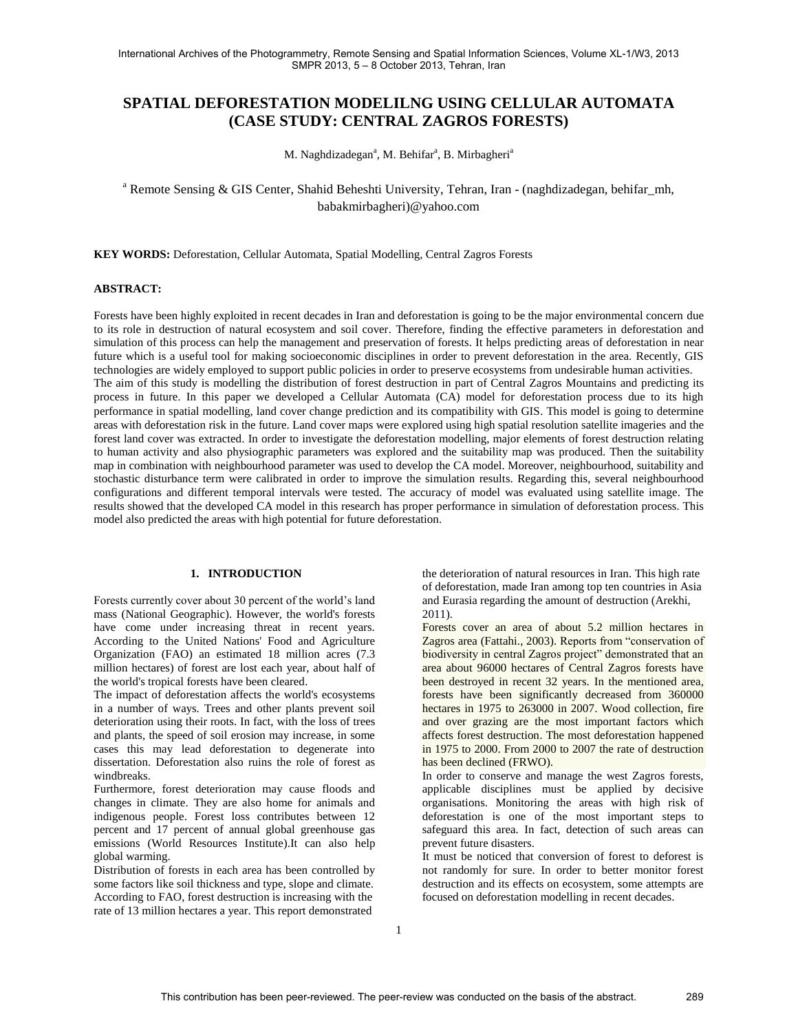# **SPATIAL DEFORESTATION MODELILNG USING CELLULAR AUTOMATA (CASE STUDY: CENTRAL ZAGROS FORESTS)**

M. Naghdizadegan<sup>a</sup>, M. Behifar<sup>a</sup>, B. Mirbagheri<sup>a</sup>

# <sup>a</sup> Remote Sensing & GIS Center, Shahid Beheshti University, Tehran, Iran - (naghdizadegan, behifar mh, babakmirbagheri)@yahoo.com

**KEY WORDS:** Deforestation, Cellular Automata, Spatial Modelling, Central Zagros Forests

# **ABSTRACT:**

Forests have been highly exploited in recent decades in Iran and deforestation is going to be the major environmental concern due to its role in destruction of natural ecosystem and soil cover. Therefore, finding the effective parameters in deforestation and simulation of this process can help the management and preservation of forests. It helps predicting areas of deforestation in near future which is a useful tool for making socioeconomic disciplines in order to prevent deforestation in the area. Recently, GIS technologies are widely employed to support public policies in order to preserve ecosystems from undesirable human activities. The aim of this study is modelling the distribution of forest destruction in part of Central Zagros Mountains and predicting its process in future. In this paper we developed a Cellular Automata (CA) model for deforestation process due to its high performance in spatial modelling, land cover change prediction and its compatibility with GIS. This model is going to determine areas with deforestation risk in the future. Land cover maps were explored using high spatial resolution satellite imageries and the forest land cover was extracted. In order to investigate the deforestation modelling, major elements of forest destruction relating to human activity and also physiographic parameters was explored and the suitability map was produced. Then the suitability map in combination with neighbourhood parameter was used to develop the CA model. Moreover, neighbourhood, suitability and stochastic disturbance term were calibrated in order to improve the simulation results. Regarding this, several neighbourhood configurations and different temporal intervals were tested. The accuracy of model was evaluated using satellite image. The results showed that the developed CA model in this research has proper performance in simulation of deforestation process. This model also predicted the areas with high potential for future deforestation.

# **1. INTRODUCTION**

Forests currently cover about 30 percent of the world's land mass [\(National Geographic\)](http://environment.nationalgeographic.com/environment/global-warming/deforestation-overview.html). However, the world's forests have come under increasing threat in recent years. According to the United Nations' Food and Agriculture Organization (FAO) an estimated 18 million acres (7.3 million hectares) of forest are lost each year, about half of the world's tropical forests have been cleared.

The impact of deforestation affects the world's ecosystems in a number of ways. Trees and other plants prevent soil deterioration using their roots. In fact, with the loss of trees and plants, the speed of soil erosion may increase, in some cases this may lead deforestation to degenerate into dissertation. Deforestation also ruins the role of forest as windbreaks.

Furthermore, forest deterioration may cause floods and changes in climate. They are also home for animals and indigenous people. Forest loss contributes between 12 percent and 17 percent of annual global greenhouse gas emissions [\(World Resources Institute\)](http://www.wri.org/publication/world-greenhouse-gas-emissions-in-2005).It can also help global warming.

Distribution of forests in each area has been controlled by some factors like soil thickness and type, slope and climate. According to FAO, forest destruction is increasing with the rate of 13 million hectares a year. This report demonstrated

the deterioration of natural resources in Iran. This high rate of deforestation, made Iran among top ten countries in Asia and Eurasia regarding the amount of destruction (Arekhi, 2011).

Forests cover an area of about 5.2 million hectares in Zagros area (Fattahi., 2003). Reports from "conservation of biodiversity in central Zagros project" demonstrated that an area about 96000 hectares of Central Zagros forests have been destroyed in recent 32 years. In the mentioned area, forests have been significantly decreased from 360000 hectares in 1975 to 263000 in 2007. Wood collection, fire and over grazing are the most important factors which affects forest destruction. The most deforestation happened in 1975 to 2000. From 2000 to 2007 the rate of destruction has been declined (FRWO).

In order to conserve and manage the west Zagros forests, applicable disciplines must be applied by decisive organisations. Monitoring the areas with high risk of deforestation is one of the most important steps to safeguard this area. In fact, detection of such areas can prevent future disasters.

It must be noticed that conversion of forest to deforest is not randomly for sure. In order to better monitor forest destruction and its effects on ecosystem, some attempts are focused on deforestation modelling in recent decades.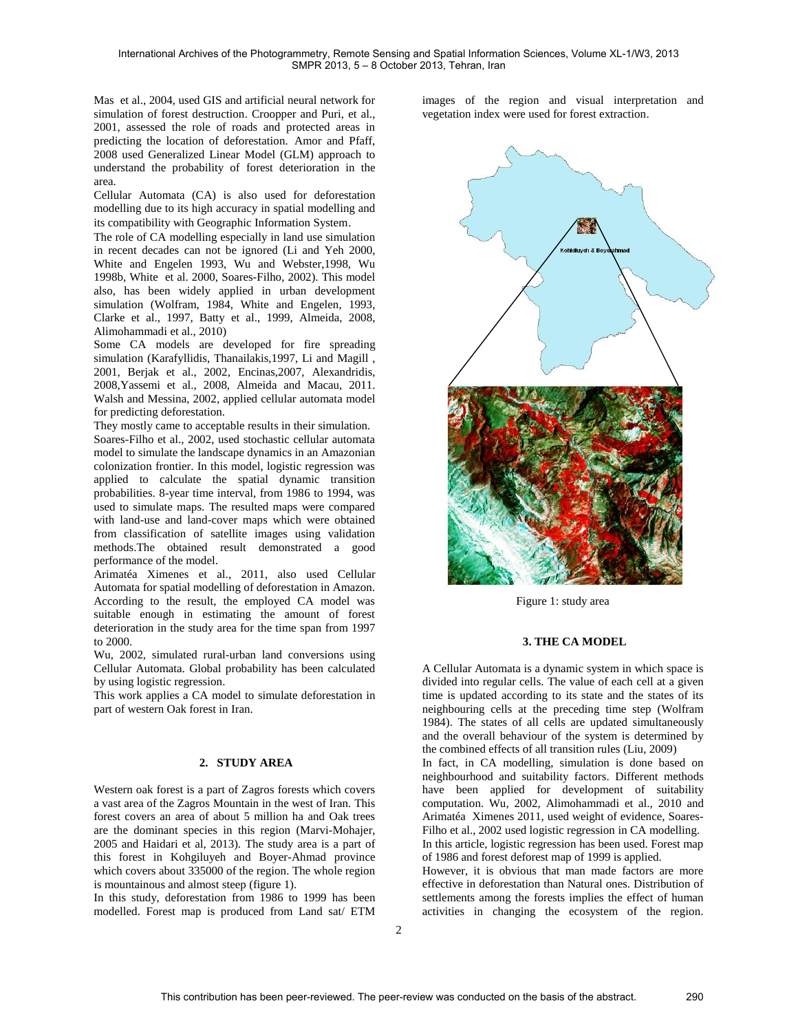[Mas](http://www.sciencedirect.com/science/article/pii/S1364815203001610) et al., 2004, used GIS and artificial neural network for simulation of forest destruction. Croopper and Puri, et al., 2001, assessed the role of roads and protected areas in predicting the location of deforestation. Amor and Pfaff, 2008 used Generalized Linear Model (GLM) approach to understand the probability of forest deterioration in the area.

Cellular Automata (CA) is also used for deforestation modelling due to its high accuracy in spatial modelling and its compatibility with Geographic Information System.

The role of CA modelling especially in land use simulation in recent decades can not be ignored (Li and Yeh 2000, White and Engelen 1993, Wu and Webster,1998, Wu 1998b, White et al. 2000, Soares-Filho, 2002). This model also, has been widely applied in urban development simulation (Wolfram, 1984, White and Engelen, 1993, Clarke et al., 1997, Batty et al., 1999, Almeida, 2008, Alimohammadi et al., 2010)

Some CA models are developed for fire spreading simulation (Karafyllidis, Thanailakis,1997, Li and Magill , 2001, Berjak et al., 2002, Encinas,2007, Alexandridis, 2008,Yassemi et al., 2008, Almeida and Macau, 2011. Walsh and Messina, 2002, applied cellular automata model for predicting deforestation.

They mostly came to acceptable results in their simulation. Soares-Filho et al., 2002, used stochastic cellular automata model to simulate the landscape dynamics in an Amazonian colonization frontier. In this model, logistic regression was applied to calculate the spatial dynamic transition probabilities. 8-year time interval, from 1986 to 1994, was used to simulate maps. The resulted maps were compared with land-use and land-cover maps which were obtained from classification of satellite images using validation methods.The obtained result demonstrated a good performance of the model.

Arimatéa Ximenes et al., 2011, also used Cellular Automata for spatial modelling of deforestation in Amazon. According to the result, the employed CA model was suitable enough in estimating the amount of forest deterioration in the study area for the time span from 1997 to 2000.

Wu, 2002, simulated rural-urban land conversions using Cellular Automata. Global probability has been calculated by using logistic regression.

This work applies a CA model to simulate deforestation in part of western Oak forest in Iran.

## **2. STUDY AREA**

Western oak forest is a part of Zagros forests which covers a vast area of the Zagros Mountain in the west of Iran. This forest covers an area of about 5 million ha and Oak trees are the dominant species in this region (Marvi-Mohajer, 2005 and Haidari et al, 2013). The study area is a part of this forest in Kohgiluyeh and Boyer-Ahmad province which covers about 335000 of the region. The whole region is mountainous and almost steep (figure 1).

In this study, deforestation from 1986 to 1999 has been modelled. Forest map is produced from Land sat/ ETM images of the region and visual interpretation and vegetation index were used for forest extraction.



Figure 1: study area

## **3. THE CA MODEL**

A Cellular Automata is a dynamic system in which space is divided into regular cells. The value of each cell at a given time is updated according to its state and the states of its neighbouring cells at the preceding time step (Wolfram 1984). The states of all cells are updated simultaneously and the overall behaviour of the system is determined by the combined effects of all transition rules (Liu, 2009)

In fact, in CA modelling, simulation is done based on neighbourhood and suitability factors. Different methods have been applied for development of suitability computation. Wu, 2002, Alimohammadi et al., 2010 and Arimatéa Ximenes 2011, used weight of evidence, Soares-Filho et al., 2002 used logistic regression in CA modelling. In this article, logistic regression has been used. Forest map of 1986 and forest deforest map of 1999 is applied.

However, it is obvious that man made factors are more effective in deforestation than Natural ones. Distribution of settlements among the forests implies the effect of human activities in changing the ecosystem of the region.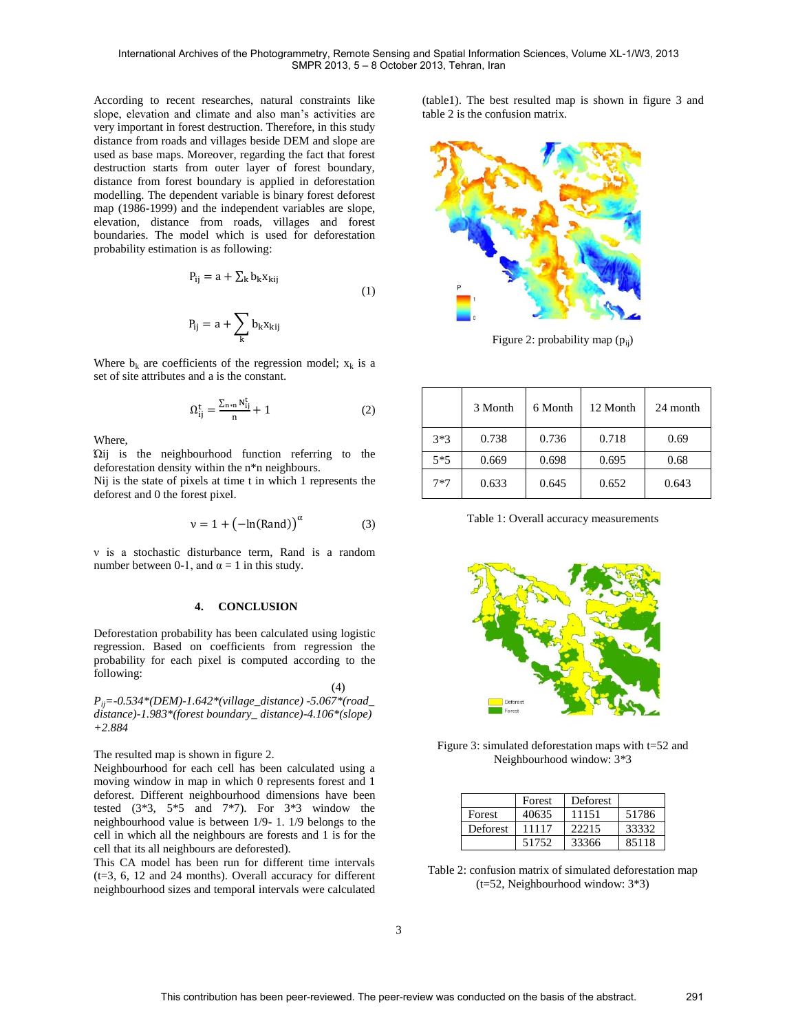According to recent researches, natural constraints like slope, elevation and climate and also man's activities are very important in forest destruction. Therefore, in this study distance from roads and villages beside DEM and slope are used as base maps. Moreover, regarding the fact that forest destruction starts from outer layer of forest boundary, distance from forest boundary is applied in deforestation modelling. The dependent variable is binary forest deforest map (1986-1999) and the independent variables are slope, elevation, distance from roads, villages and forest boundaries. The model which is used for deforestation probability estimation is as following:

$$
P_{ij} = a + \sum_{k} b_k x_{kij}
$$
  
\n
$$
P_{ij} = a + \sum_{k} b_k x_{kij}
$$
\n(1)

Where  $b_k$  are coefficients of the regression model;  $x_k$  is a set of site attributes and a is the constant.

$$
\Omega_{ij}^t = \frac{\sum_{n \ast n} N_{ij}^t}{n} + 1 \tag{2}
$$

Where,

Ώij is the neighbourhood function referring to the deforestation density within the n\*n neighbours.

Nij is the state of pixels at time t in which 1 represents the deforest and 0 the forest pixel.

$$
v = 1 + \left(-\ln(\text{Rand})\right)^{\alpha} \tag{3}
$$

ν is a stochastic disturbance term, Rand is a random number between 0-1, and  $α = 1$  in this study.

# **4. CONCLUSION**

Deforestation probability has been calculated using logistic regression. Based on coefficients from regression the probability for each pixel is computed according to the following:

(4)

*Pij=-0.534\*(DEM)-1.642\*(village\_distance) -5.067\*(road\_ distance)-1.983\*(forest boundary\_ distance)-4.106\*(slope) +2.884*

The resulted map is shown in figure 2.

Neighbourhood for each cell has been calculated using a moving window in map in which 0 represents forest and 1 deforest. Different neighbourhood dimensions have been tested  $(3*3, 5*5, and 7*7)$ . For  $3*3$  window the neighbourhood value is between 1/9- 1. 1/9 belongs to the cell in which all the neighbours are forests and 1 is for the cell that its all neighbours are deforested).

This CA model has been run for different time intervals (t=3, 6, 12 and 24 months). Overall accuracy for different neighbourhood sizes and temporal intervals were calculated

(table1). The best resulted map is shown in figure 3 and table 2 is the confusion matrix.



Figure 2: probability map  $(p_{ii})$ 

|       | 3 Month | 6 Month | 12 Month | 24 month |
|-------|---------|---------|----------|----------|
| $3*3$ | 0.738   | 0.736   | 0.718    | 0.69     |
| $5*5$ | 0.669   | 0.698   | 0.695    | 0.68     |
| $7*7$ | 0.633   | 0.645   | 0.652    | 0.643    |

Table 1: Overall accuracy measurements



Figure 3: simulated deforestation maps with t=52 and Neighbourhood window: 3\*3

|          | Forest | Deforest |       |
|----------|--------|----------|-------|
| Forest   | 40635  | 11151    | 51786 |
| Deforest | 11117  | 22215    | 33332 |
|          | 51752  | 33366    | 85118 |

Table 2: confusion matrix of simulated deforestation map (t=52, Neighbourhood window: 3\*3)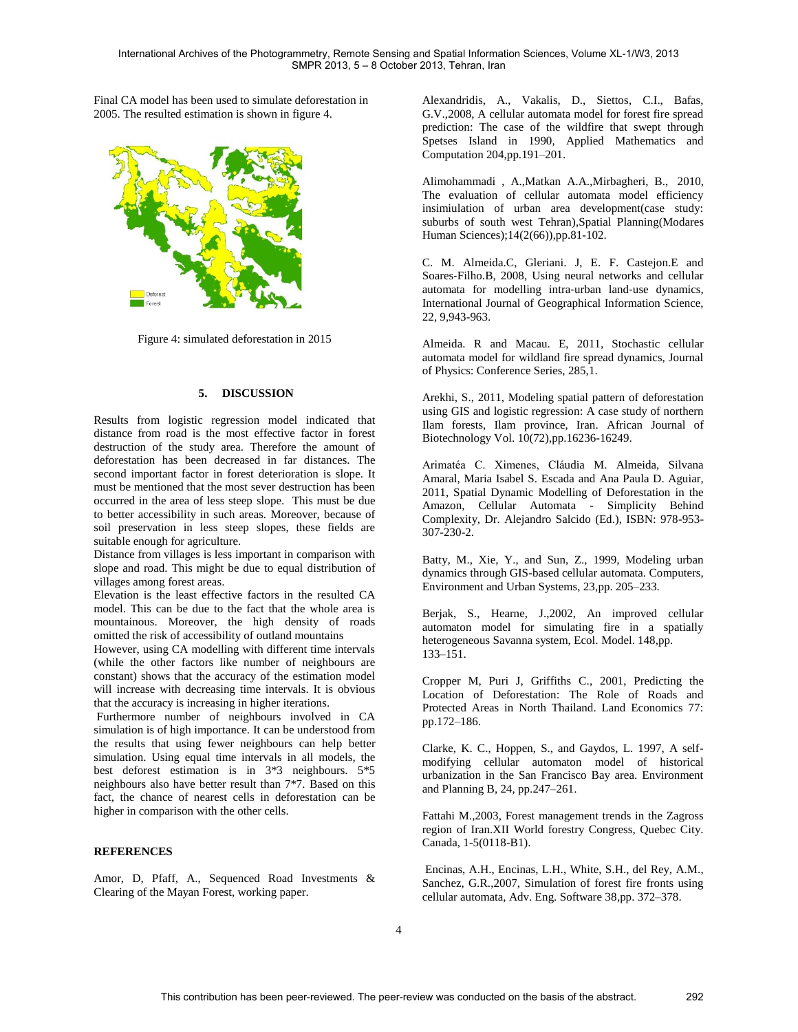Final CA model has been used to simulate deforestation in 2005. The resulted estimation is shown in figure 4.



Figure 4: simulated deforestation in 2015

#### **5. DISCUSSION**

Results from logistic regression model indicated that distance from road is the most effective factor in forest destruction of the study area. Therefore the amount of deforestation has been decreased in far distances. The second important factor in forest deterioration is slope. It must be mentioned that the most sever destruction has been occurred in the area of less steep slope. This must be due to better accessibility in such areas. Moreover, because of soil preservation in less steep slopes, these fields are suitable enough for agriculture.

Distance from villages is less important in comparison with slope and road. This might be due to equal distribution of villages among forest areas.

Elevation is the least effective factors in the resulted CA model. This can be due to the fact that the whole area is mountainous. Moreover, the high density of roads omitted the risk of accessibility of outland mountains

However, using CA modelling with different time intervals (while the other factors like number of neighbours are constant) shows that the accuracy of the estimation model will increase with decreasing time intervals. It is obvious that the accuracy is increasing in higher iterations.

Furthermore number of neighbours involved in CA simulation is of high importance. It can be understood from the results that using fewer neighbours can help better simulation. Using equal time intervals in all models, the best deforest estimation is in 3\*3 neighbours. 5\*5 neighbours also have better result than 7\*7. Based on this fact, the chance of nearest cells in deforestation can be higher in comparison with the other cells.

# **REFERENCES**

Amor, D, Pfaff, A., Sequenced Road Investments & Clearing of the Mayan Forest, working paper.

Alexandridis, A., Vakalis, D., Siettos, C.I., Bafas, G.V.,2008, A cellular automata model for forest fire spread prediction: The case of the wildfire that swept through Spetses Island in 1990, Applied Mathematics and Computation 204,pp.191–201.

Alimohammadi , A.,Matkan A.A.,Mirbagheri, B., 2010, The evaluation of cellular automata model efficiency insimiulation of urban area development(case study: suburbs of south west Tehran),Spatial Planning(Modares Human Sciences);14(2(66)),pp.81-102.

C. M. Almeida.C, Gleriani. J, E. F. Castejon.E and Soares‐Filho.B, 2008, Using neural networks and cellular automata for modelling intra‐urban land‐use dynamics, International Journal of Geographical Information Science, 22, 9,943-963.

Almeida. R and Macau. E, 2011, Stochastic cellular automata model for wildland fire spread dynamics, Journal of Physics: Conference Series, 285,1.

Arekhi, S., 2011, Modeling spatial pattern of deforestation using GIS and logistic regression: A case study of northern Ilam forests, Ilam province, Iran. African Journal of Biotechnology Vol. 10(72),pp.16236-16249.

Arimatéa C. Ximenes, Cláudia M. Almeida, Silvana Amaral, Maria Isabel S. Escada and Ana Paula D. Aguiar, 2011, Spatial Dynamic Modelling of Deforestation in the Amazon, Cellular Automata - Simplicity Behind Complexity, Dr. Alejandro Salcido (Ed.), ISBN: 978-953- 307-230-2.

Batty, M., Xie, Y., and Sun, Z., 1999, Modeling urban dynamics through GIS-based cellular automata. Computers, Environment and Urban Systems, 23,pp. 205–233.

Berjak, S., Hearne, J.,2002, An improved cellular automaton model for simulating fire in a spatially heterogeneous Savanna system, Ecol. Model. 148,pp. 133–151.

Cropper M, Puri J, Griffiths C., 2001, Predicting the Location of Deforestation: The Role of Roads and Protected Areas in North Thailand. Land Economics 77: pp.172–186.

Clarke, K. C., Hoppen, S., and Gaydos, L. 1997, A selfmodifying cellular automaton model of historical urbanization in the San Francisco Bay area. Environment and Planning B, 24, pp.247–261.

Fattahi M.,2003, Forest management trends in the Zagross region of Iran.XII World forestry Congress, Quebec City. Canada, 1-5(0118-B1).

Encinas, A.H., Encinas, L.H., White, S.H., del Rey, A.M., Sanchez, G.R.,2007, Simulation of forest fire fronts using cellular automata, Adv. Eng. Software 38,pp. 372–378.